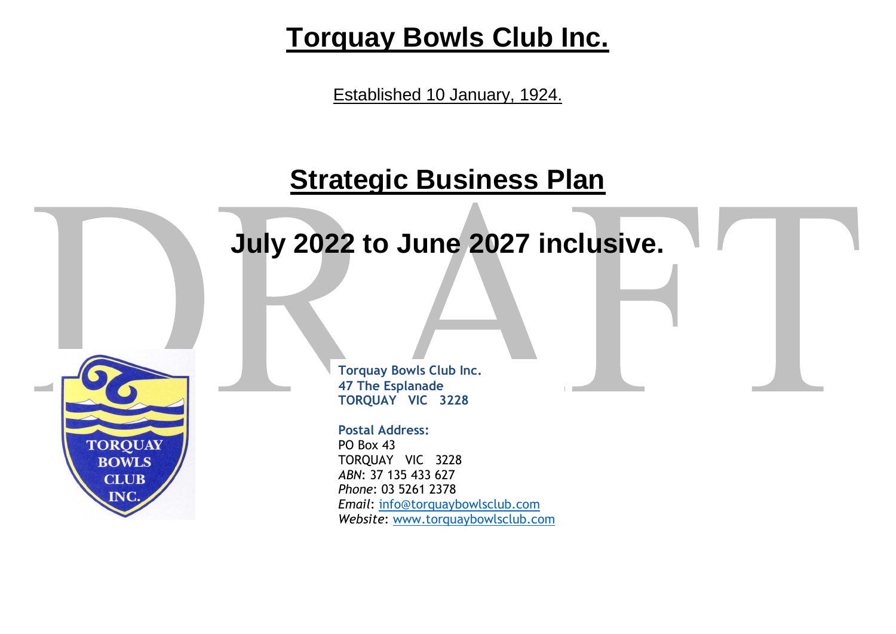# **Torquay Bowls Club Inc.**

Established 10 January, 1924.

# **Strategic Business Plan**

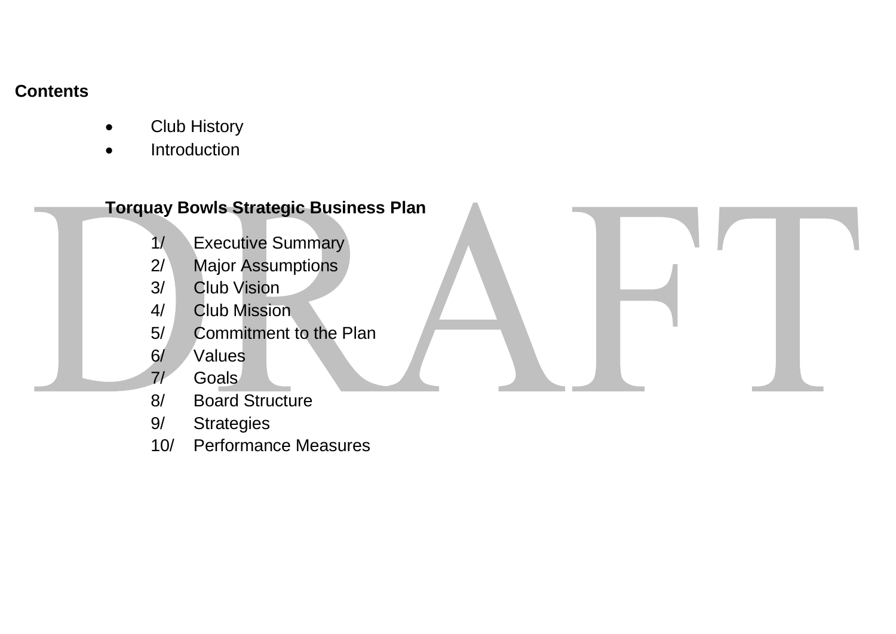# **Contents**

- Club History
- Introduction

# **Torquay Bowls Strategic Business Plan**  1/ Executive Summary 2/ Major Assumptions

- 3/ Club Vision
- 4/ Club Mission
- 5/ Commitment to the Plan
- 6/ Values
- 7/ Goals
- 8/ Board Structure
- 9/ Strategies
- 10/ Performance Measures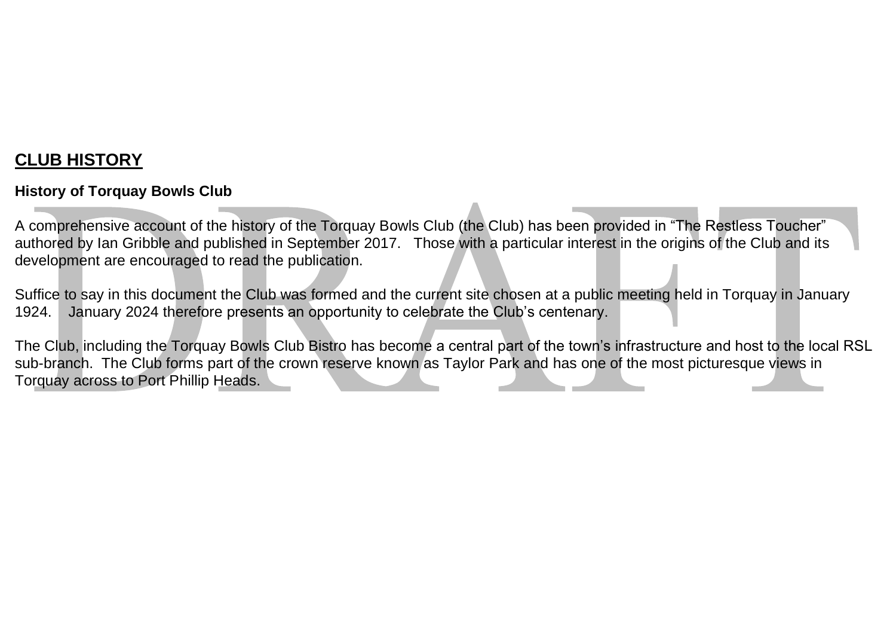# **CLUB HISTORY**

#### **History of Torquay Bowls Club**

A comprehensive account of the history of the Torquay Bowls Club (the Club) has been provided in "The Restless Toucher" authored by Ian Gribble and published in September 2017. Those with a particular interest in the origins of the Club and its development are encouraged to read the publication.

Suffice to say in this document the Club was formed and the current site chosen at a public meeting held in Torquay in January 1924. January 2024 therefore presents an opportunity to celebrate the Club's centenary.

The Club, including the Torquay Bowls Club Bistro has become a central part of the town's infrastructure and host to the local RSL sub-branch. The Club forms part of the crown reserve known as Taylor Park and has one of the most picturesque views in Torquay across to Port Phillip Heads.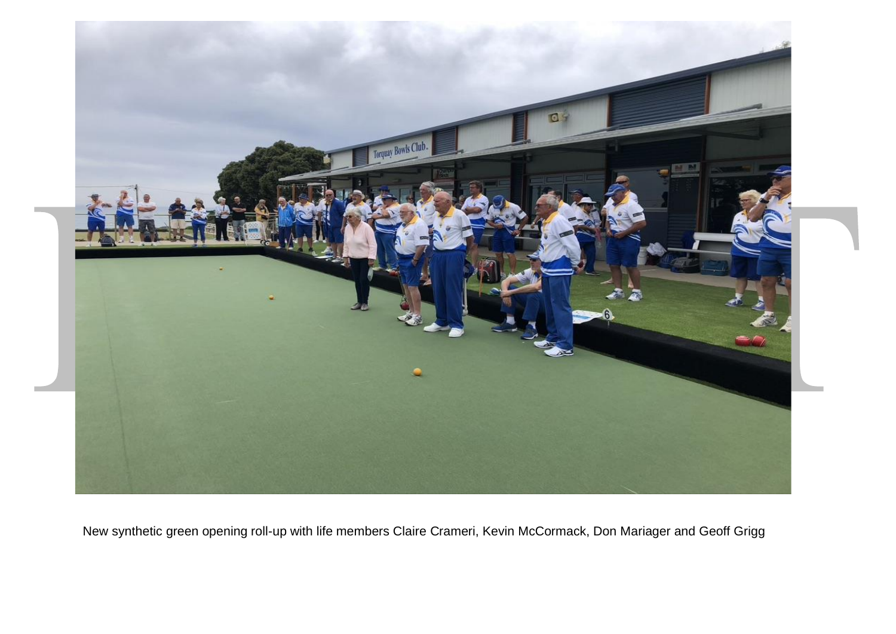

New synthetic green opening roll-up with life members Claire Crameri, Kevin McCormack, Don Mariager and Geoff Grigg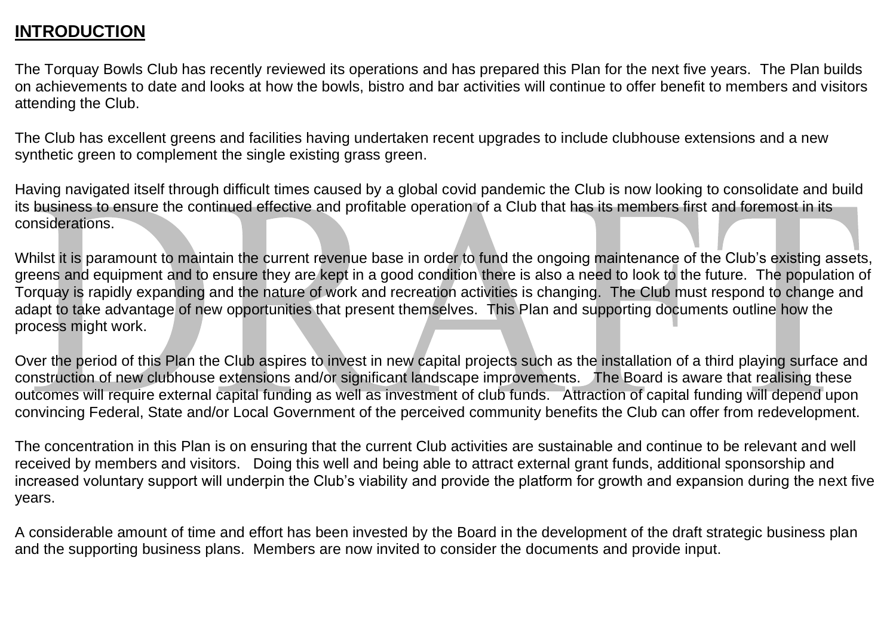# **INTRODUCTION**

The Torquay Bowls Club has recently reviewed its operations and has prepared this Plan for the next five years. The Plan builds on achievements to date and looks at how the bowls, bistro and bar activities will continue to offer benefit to members and visitors attending the Club.

The Club has excellent greens and facilities having undertaken recent upgrades to include clubhouse extensions and a new synthetic green to complement the single existing grass green.

Having navigated itself through difficult times caused by a global covid pandemic the Club is now looking to consolidate and build its business to ensure the continued effective and profitable operation of a Club that has its members first and foremost in its considerations.

Whilst it is paramount to maintain the current revenue base in order to fund the ongoing maintenance of the Club's existing assets, greens and equipment and to ensure they are kept in a good condition there is also a need to look to the future. The population of Torquay is rapidly expanding and the nature of work and recreation activities is changing. The Club must respond to change and adapt to take advantage of new opportunities that present themselves. This Plan and supporting documents outline how the process might work.

Over the period of this Plan the Club aspires to invest in new capital projects such as the installation of a third playing surface and construction of new clubhouse extensions and/or significant landscape improvements. The Board is aware that realising these outcomes will require external capital funding as well as investment of club funds. Attraction of capital funding will depend upon convincing Federal, State and/or Local Government of the perceived community benefits the Club can offer from redevelopment.

The concentration in this Plan is on ensuring that the current Club activities are sustainable and continue to be relevant and well received by members and visitors. Doing this well and being able to attract external grant funds, additional sponsorship and increased voluntary support will underpin the Club's viability and provide the platform for growth and expansion during the next five years.

A considerable amount of time and effort has been invested by the Board in the development of the draft strategic business plan and the supporting business plans. Members are now invited to consider the documents and provide input.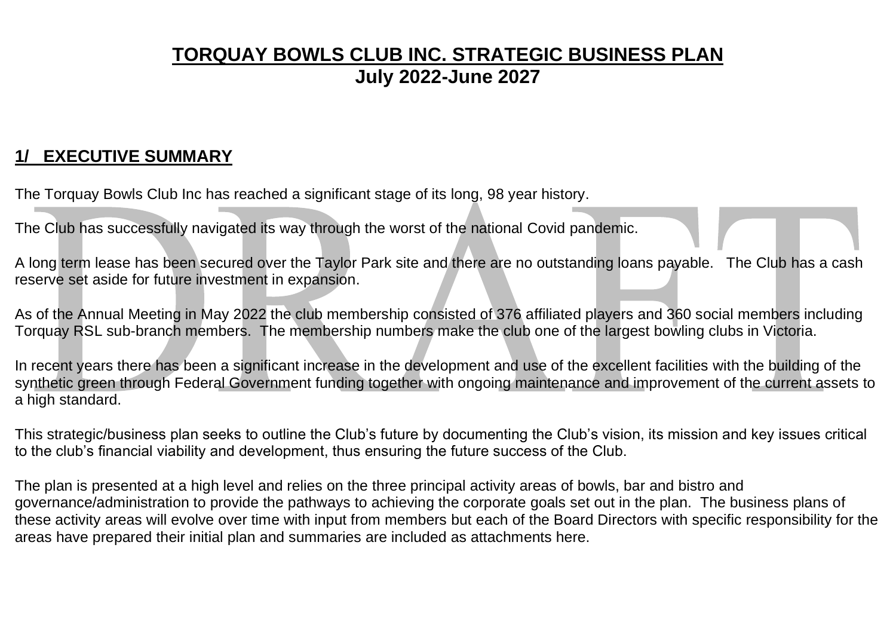# **TORQUAY BOWLS CLUB INC. STRATEGIC BUSINESS PLAN July 2022-June 2027**

# **1/ EXECUTIVE SUMMARY**

The Torquay Bowls Club Inc has reached a significant stage of its long, 98 year history.

The Club has successfully navigated its way through the worst of the national Covid pandemic.

A long term lease has been secured over the Taylor Park site and there are no outstanding loans payable. The Club has a cash reserve set aside for future investment in expansion.

As of the Annual Meeting in May 2022 the club membership consisted of 376 affiliated players and 360 social members including Torquay RSL sub-branch members. The membership numbers make the club one of the largest bowling clubs in Victoria.

In recent years there has been a significant increase in the development and use of the excellent facilities with the building of the synthetic green through Federal Government funding together with ongoing maintenance and improvement of the current assets to a high standard.

This strategic/business plan seeks to outline the Club's future by documenting the Club's vision, its mission and key issues critical to the club's financial viability and development, thus ensuring the future success of the Club.

The plan is presented at a high level and relies on the three principal activity areas of bowls, bar and bistro and governance/administration to provide the pathways to achieving the corporate goals set out in the plan. The business plans of these activity areas will evolve over time with input from members but each of the Board Directors with specific responsibility for the areas have prepared their initial plan and summaries are included as attachments here.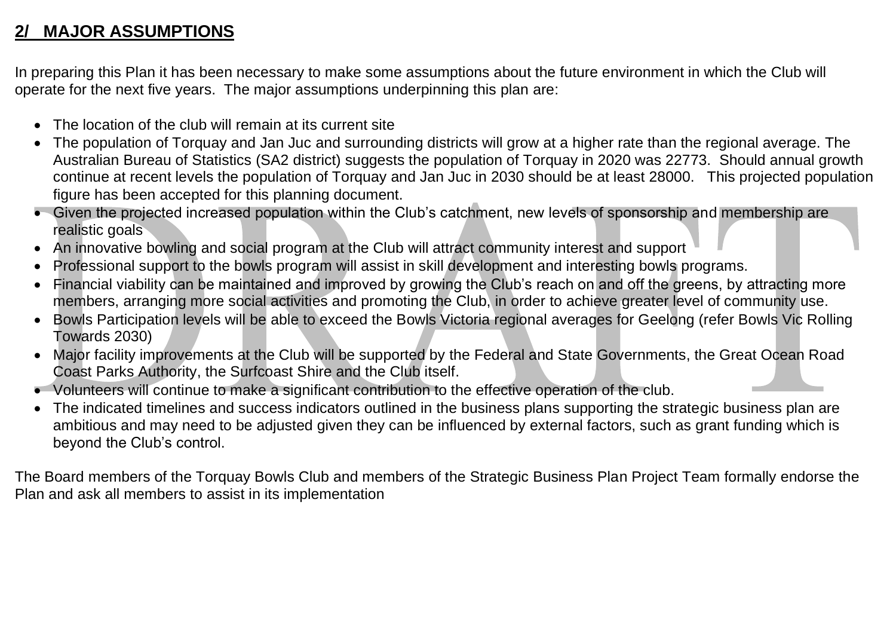# **2/ MAJOR ASSUMPTIONS**

In preparing this Plan it has been necessary to make some assumptions about the future environment in which the Club will operate for the next five years. The major assumptions underpinning this plan are:

- The location of the club will remain at its current site
- The population of Torquay and Jan Juc and surrounding districts will grow at a higher rate than the regional average. The Australian Bureau of Statistics (SA2 district) suggests the population of Torquay in 2020 was 22773. Should annual growth continue at recent levels the population of Torquay and Jan Juc in 2030 should be at least 28000. This projected population figure has been accepted for this planning document.
- Given the projected increased population within the Club's catchment, new levels of sponsorship and membership are realistic goals
- An innovative bowling and social program at the Club will attract community interest and support
- Professional support to the bowls program will assist in skill development and interesting bowls programs.
- Financial viability can be maintained and improved by growing the Club's reach on and off the greens, by attracting more members, arranging more social activities and promoting the Club, in order to achieve greater level of community use.
- Bowls Participation levels will be able to exceed the Bowls Victoria regional averages for Geelong (refer Bowls Vic Rolling Towards 2030)
- Major facility improvements at the Club will be supported by the Federal and State Governments, the Great Ocean Road Coast Parks Authority, the Surfcoast Shire and the Club itself.
- Volunteers will continue to make a significant contribution to the effective operation of the club.
- The indicated timelines and success indicators outlined in the business plans supporting the strategic business plan are ambitious and may need to be adjusted given they can be influenced by external factors, such as grant funding which is beyond the Club's control.

The Board members of the Torquay Bowls Club and members of the Strategic Business Plan Project Team formally endorse the Plan and ask all members to assist in its implementation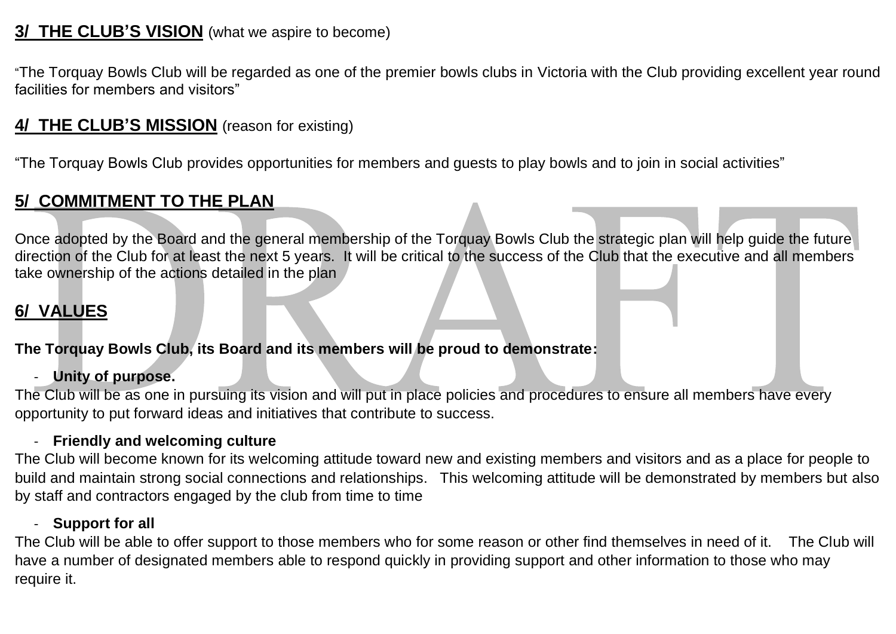# **3/ THE CLUB'S VISION** (what we aspire to become)

"The Torquay Bowls Club will be regarded as one of the premier bowls clubs in Victoria with the Club providing excellent year round facilities for members and visitors"

# **4/ THE CLUB'S MISSION** (reason for existing)

"The Torquay Bowls Club provides opportunities for members and guests to play bowls and to join in social activities"

# **5/ COMMITMENT TO THE PLAN**

Once adopted by the Board and the general membership of the Torquay Bowls Club the strategic plan will help guide the future direction of the Club for at least the next 5 years. It will be critical to the success of the Club that the executive and all members take ownership of the actions detailed in the plan

# **6/ VALUES**

#### **The Torquay Bowls Club, its Board and its members will be proud to demonstrate:**

#### - **Unity of purpose.**

The Club will be as one in pursuing its vision and will put in place policies and procedures to ensure all members have every opportunity to put forward ideas and initiatives that contribute to success.

#### - **Friendly and welcoming culture**

The Club will become known for its welcoming attitude toward new and existing members and visitors and as a place for people to build and maintain strong social connections and relationships. This welcoming attitude will be demonstrated by members but also by staff and contractors engaged by the club from time to time

#### - **Support for all**

The Club will be able to offer support to those members who for some reason or other find themselves in need of it. The Club will have a number of designated members able to respond quickly in providing support and other information to those who may require it.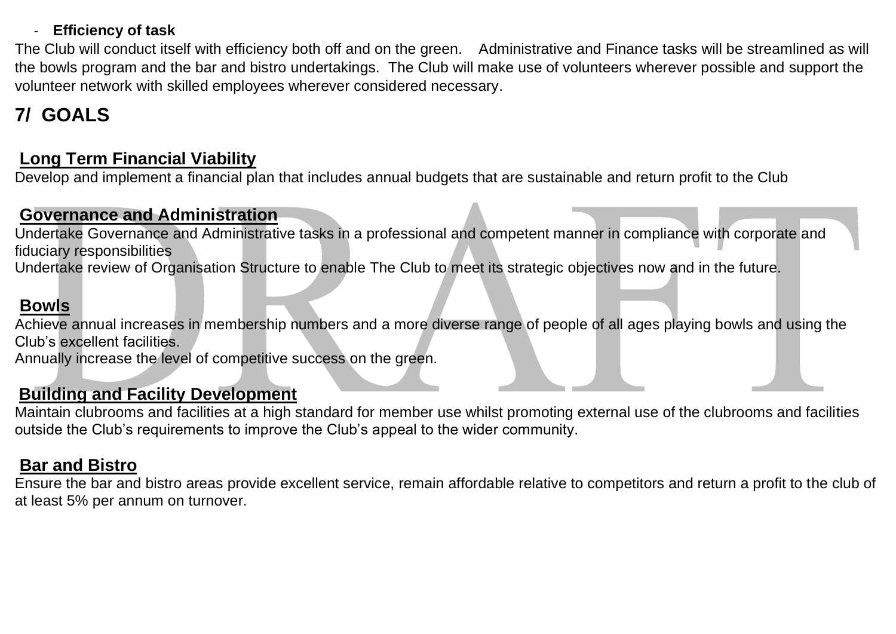#### - **Efficiency of task**

The Club will conduct itself with efficiency both off and on the green. Administrative and Finance tasks will be streamlined as will the bowls program and the bar and bistro undertakings. The Club will make use of volunteers wherever possible and support the volunteer network with skilled employees wherever considered necessary.

# **7/ GOALS**

### **Long Term Financial Viability**

Develop and implement a financial plan that includes annual budgets that are sustainable and return profit to the Club

#### **Governance and Administration**

Undertake Governance and Administrative tasks in a professional and competent manner in compliance with corporate and fiduciary responsibilities

Undertake review of Organisation Structure to enable The Club to meet its strategic objectives now and in the future.

#### **Bowls**

Achieve annual increases in membership numbers and a more diverse range of people of all ages playing bowls and using the Club's excellent facilities.

Annually increase the level of competitive success on the green.

#### **Building and Facility Development**

Maintain clubrooms and facilities at a high standard for member use whilst promoting external use of the clubrooms and facilities outside the Club's requirements to improve the Club's appeal to the wider community.

### **Bar and Bistro**

Ensure the bar and bistro areas provide excellent service, remain affordable relative to competitors and return a profit to the club of at least 5% per annum on turnover.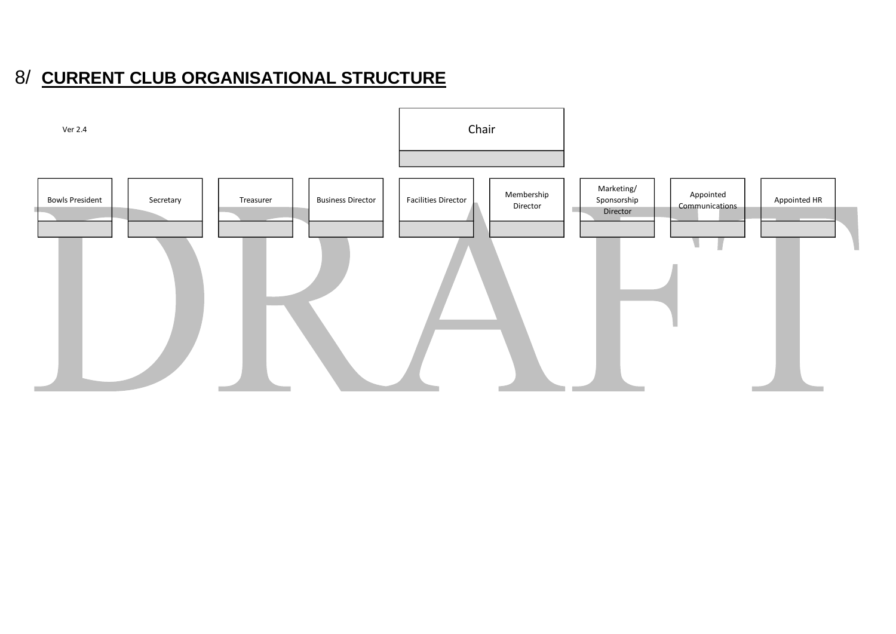# 8/ **CURRENT CLUB ORGANISATIONAL STRUCTURE**

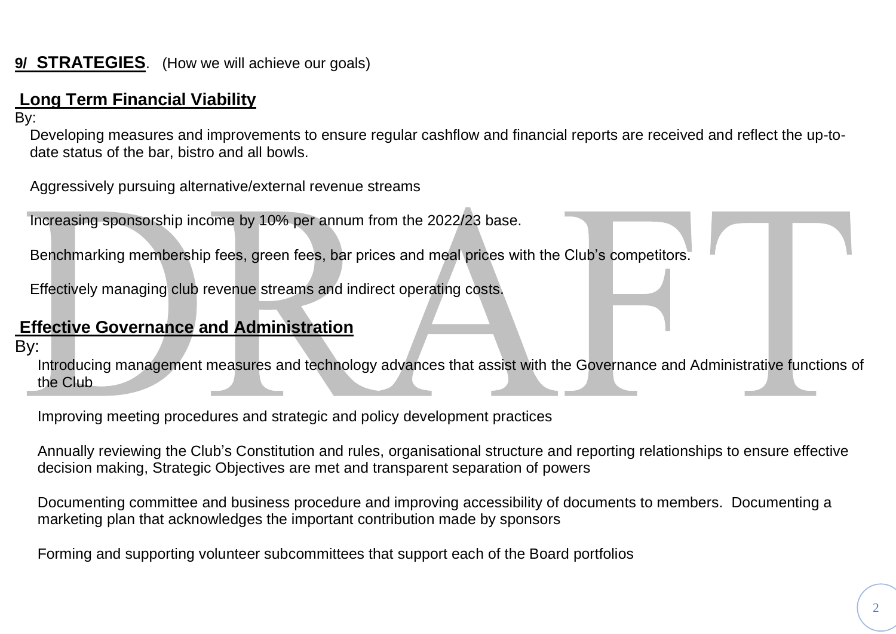### **9/ STRATEGIES**. (How we will achieve our goals)

# **Long Term Financial Viability**

By:

Developing measures and improvements to ensure regular cashflow and financial reports are received and reflect the up-todate status of the bar, bistro and all bowls.

Aggressively pursuing alternative/external revenue streams

Increasing sponsorship income by 10% per annum from the 2022/23 base.

Benchmarking membership fees, green fees, bar prices and meal prices with the Club's competitors.

Effectively managing club revenue streams and indirect operating costs.

# **Effective Governance and Administration**

By:

Introducing management measures and technology advances that assist with the Governance and Administrative functions of the Club

Improving meeting procedures and strategic and policy development practices

Annually reviewing the Club's Constitution and rules, organisational structure and reporting relationships to ensure effective decision making, Strategic Objectives are met and transparent separation of powers

Documenting committee and business procedure and improving accessibility of documents to members. Documenting a marketing plan that acknowledges the important contribution made by sponsors

Forming and supporting volunteer subcommittees that support each of the Board portfolios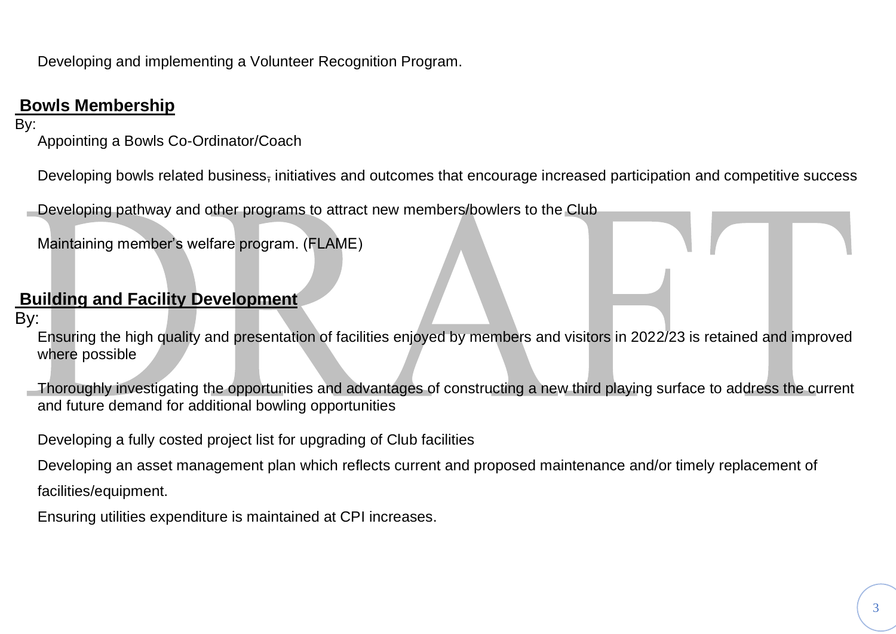Developing and implementing a Volunteer Recognition Program.

#### **Bowls Membership**

#### By:

Appointing a Bowls Co-Ordinator/Coach

Developing bowls related business, initiatives and outcomes that encourage increased participation and competitive success

Developing pathway and other programs to attract new members/bowlers to the Club

Maintaining member's welfare program. (FLAME)

#### **Building and Facility Development**

#### By:

Ensuring the high quality and presentation of facilities enjoyed by members and visitors in 2022/23 is retained and improved where possible

Thoroughly investigating the opportunities and advantages of constructing a new third playing surface to address the current and future demand for additional bowling opportunities

Developing a fully costed project list for upgrading of Club facilities

Developing an asset management plan which reflects current and proposed maintenance and/or timely replacement of facilities/equipment.

Ensuring utilities expenditure is maintained at CPI increases.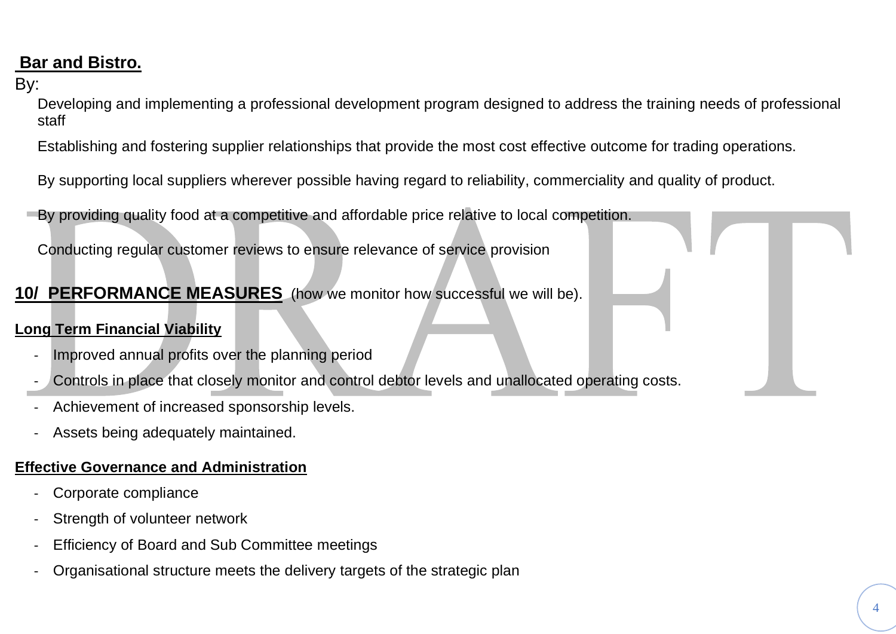# **Bar and Bistro.**

#### By:

Developing and implementing a professional development program designed to address the training needs of professional staff

Establishing and fostering supplier relationships that provide the most cost effective outcome for trading operations.

By supporting local suppliers wherever possible having regard to reliability, commerciality and quality of product.

By providing quality food at a competitive and affordable price relative to local competition.

Conducting regular customer reviews to ensure relevance of service provision

#### **10/ PERFORMANCE MEASURES** (how we monitor how successful we will be).

#### **Long Term Financial Viability**

- Improved annual profits over the planning period
- Controls in place that closely monitor and control debtor levels and unallocated operating costs.
- Achievement of increased sponsorship levels.
- Assets being adequately maintained.

#### **Effective Governance and Administration**

- Corporate compliance
- Strength of volunteer network
- Efficiency of Board and Sub Committee meetings
- Organisational structure meets the delivery targets of the strategic plan